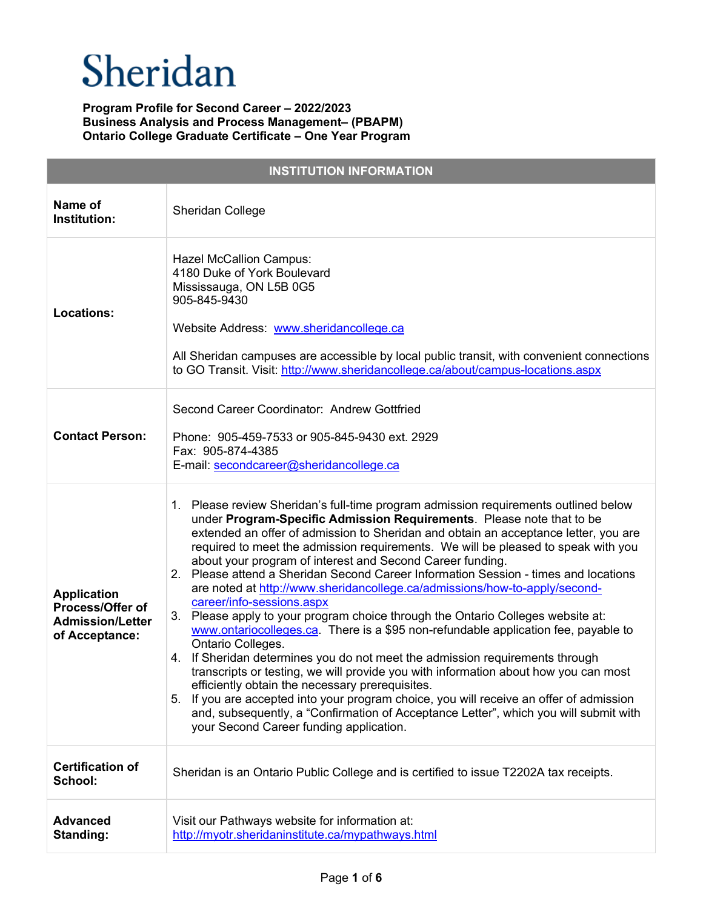| <b>INSTITUTION INFORMATION</b>                                                      |                                                                                                                                                                                                                                                                                                                                                                                                                                                                                                                                                                                                                                                                                                                                                                                                                                                                                                                                                                                                                                                                                                                                                                                                                                                                  |  |
|-------------------------------------------------------------------------------------|------------------------------------------------------------------------------------------------------------------------------------------------------------------------------------------------------------------------------------------------------------------------------------------------------------------------------------------------------------------------------------------------------------------------------------------------------------------------------------------------------------------------------------------------------------------------------------------------------------------------------------------------------------------------------------------------------------------------------------------------------------------------------------------------------------------------------------------------------------------------------------------------------------------------------------------------------------------------------------------------------------------------------------------------------------------------------------------------------------------------------------------------------------------------------------------------------------------------------------------------------------------|--|
| Name of<br>Institution:                                                             | Sheridan College                                                                                                                                                                                                                                                                                                                                                                                                                                                                                                                                                                                                                                                                                                                                                                                                                                                                                                                                                                                                                                                                                                                                                                                                                                                 |  |
| <b>Locations:</b>                                                                   | <b>Hazel McCallion Campus:</b><br>4180 Duke of York Boulevard<br>Mississauga, ON L5B 0G5<br>905-845-9430<br>Website Address: www.sheridancollege.ca<br>All Sheridan campuses are accessible by local public transit, with convenient connections<br>to GO Transit. Visit: http://www.sheridancollege.ca/about/campus-locations.aspx                                                                                                                                                                                                                                                                                                                                                                                                                                                                                                                                                                                                                                                                                                                                                                                                                                                                                                                              |  |
| <b>Contact Person:</b>                                                              | Second Career Coordinator: Andrew Gottfried<br>Phone: 905-459-7533 or 905-845-9430 ext. 2929<br>Fax: 905-874-4385<br>E-mail: secondcareer@sheridancollege.ca                                                                                                                                                                                                                                                                                                                                                                                                                                                                                                                                                                                                                                                                                                                                                                                                                                                                                                                                                                                                                                                                                                     |  |
| <b>Application</b><br>Process/Offer of<br><b>Admission/Letter</b><br>of Acceptance: | 1. Please review Sheridan's full-time program admission requirements outlined below<br>under Program-Specific Admission Requirements. Please note that to be<br>extended an offer of admission to Sheridan and obtain an acceptance letter, you are<br>required to meet the admission requirements. We will be pleased to speak with you<br>about your program of interest and Second Career funding.<br>2. Please attend a Sheridan Second Career Information Session - times and locations<br>are noted at http://www.sheridancollege.ca/admissions/how-to-apply/second-<br>career/info-sessions.aspx<br>3. Please apply to your program choice through the Ontario Colleges website at:<br>www.ontariocolleges.ca. There is a \$95 non-refundable application fee, payable to<br>Ontario Colleges.<br>4. If Sheridan determines you do not meet the admission requirements through<br>transcripts or testing, we will provide you with information about how you can most<br>efficiently obtain the necessary prerequisites.<br>If you are accepted into your program choice, you will receive an offer of admission<br>5.<br>and, subsequently, a "Confirmation of Acceptance Letter", which you will submit with<br>your Second Career funding application. |  |
| <b>Certification of</b><br>School:                                                  | Sheridan is an Ontario Public College and is certified to issue T2202A tax receipts.                                                                                                                                                                                                                                                                                                                                                                                                                                                                                                                                                                                                                                                                                                                                                                                                                                                                                                                                                                                                                                                                                                                                                                             |  |
| <b>Advanced</b><br>Standing:                                                        | Visit our Pathways website for information at:<br>http://myotr.sheridaninstitute.ca/mypathways.html                                                                                                                                                                                                                                                                                                                                                                                                                                                                                                                                                                                                                                                                                                                                                                                                                                                                                                                                                                                                                                                                                                                                                              |  |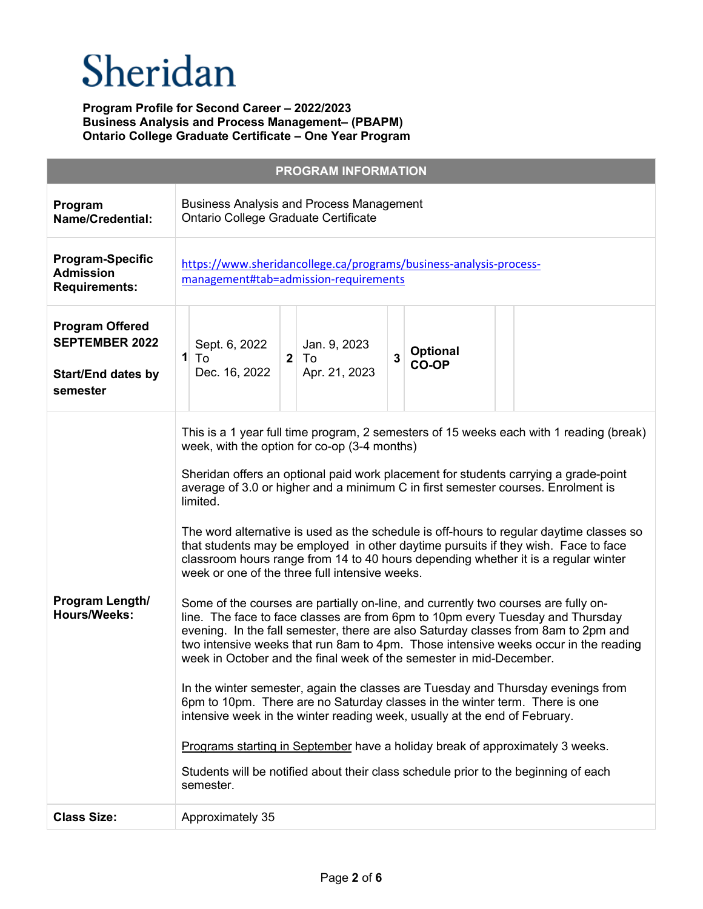# Sheridan

|                                                                                          | <b>PROGRAM INFORMATION</b>                                                                                                                                                                                                                                                                                                                                                                                                                                                                                                                                                                                                                                                                                                                                                                                                                                                                                                                                                                                                                                                                                                                                                                                                                                                                                                                                                                                                                                                                                                |
|------------------------------------------------------------------------------------------|---------------------------------------------------------------------------------------------------------------------------------------------------------------------------------------------------------------------------------------------------------------------------------------------------------------------------------------------------------------------------------------------------------------------------------------------------------------------------------------------------------------------------------------------------------------------------------------------------------------------------------------------------------------------------------------------------------------------------------------------------------------------------------------------------------------------------------------------------------------------------------------------------------------------------------------------------------------------------------------------------------------------------------------------------------------------------------------------------------------------------------------------------------------------------------------------------------------------------------------------------------------------------------------------------------------------------------------------------------------------------------------------------------------------------------------------------------------------------------------------------------------------------|
| Program<br><b>Name/Credential:</b>                                                       | <b>Business Analysis and Process Management</b><br>Ontario College Graduate Certificate                                                                                                                                                                                                                                                                                                                                                                                                                                                                                                                                                                                                                                                                                                                                                                                                                                                                                                                                                                                                                                                                                                                                                                                                                                                                                                                                                                                                                                   |
| <b>Program-Specific</b><br><b>Admission</b><br><b>Requirements:</b>                      | https://www.sheridancollege.ca/programs/business-analysis-process-<br>management#tab=admission-requirements                                                                                                                                                                                                                                                                                                                                                                                                                                                                                                                                                                                                                                                                                                                                                                                                                                                                                                                                                                                                                                                                                                                                                                                                                                                                                                                                                                                                               |
| <b>Program Offered</b><br><b>SEPTEMBER 2022</b><br><b>Start/End dates by</b><br>semester | Sept. 6, 2022<br>Jan. 9, 2023<br><b>Optional</b><br>$\overline{3}$<br>2 <sup>1</sup><br>$1$ To<br>∣ To<br><b>CO-OP</b><br>Dec. 16, 2022<br>Apr. 21, 2023                                                                                                                                                                                                                                                                                                                                                                                                                                                                                                                                                                                                                                                                                                                                                                                                                                                                                                                                                                                                                                                                                                                                                                                                                                                                                                                                                                  |
| Program Length/<br><b>Hours/Weeks:</b>                                                   | This is a 1 year full time program, 2 semesters of 15 weeks each with 1 reading (break)<br>week, with the option for co-op (3-4 months)<br>Sheridan offers an optional paid work placement for students carrying a grade-point<br>average of 3.0 or higher and a minimum C in first semester courses. Enrolment is<br>limited.<br>The word alternative is used as the schedule is off-hours to regular daytime classes so<br>that students may be employed in other daytime pursuits if they wish. Face to face<br>classroom hours range from 14 to 40 hours depending whether it is a regular winter<br>week or one of the three full intensive weeks.<br>Some of the courses are partially on-line, and currently two courses are fully on-<br>line. The face to face classes are from 6pm to 10pm every Tuesday and Thursday<br>evening. In the fall semester, there are also Saturday classes from 8am to 2pm and<br>two intensive weeks that run 8am to 4pm. Those intensive weeks occur in the reading<br>week in October and the final week of the semester in mid-December.<br>In the winter semester, again the classes are Tuesday and Thursday evenings from<br>6pm to 10pm. There are no Saturday classes in the winter term. There is one<br>intensive week in the winter reading week, usually at the end of February.<br>Programs starting in September have a holiday break of approximately 3 weeks.<br>Students will be notified about their class schedule prior to the beginning of each<br>semester. |
| <b>Class Size:</b>                                                                       | Approximately 35                                                                                                                                                                                                                                                                                                                                                                                                                                                                                                                                                                                                                                                                                                                                                                                                                                                                                                                                                                                                                                                                                                                                                                                                                                                                                                                                                                                                                                                                                                          |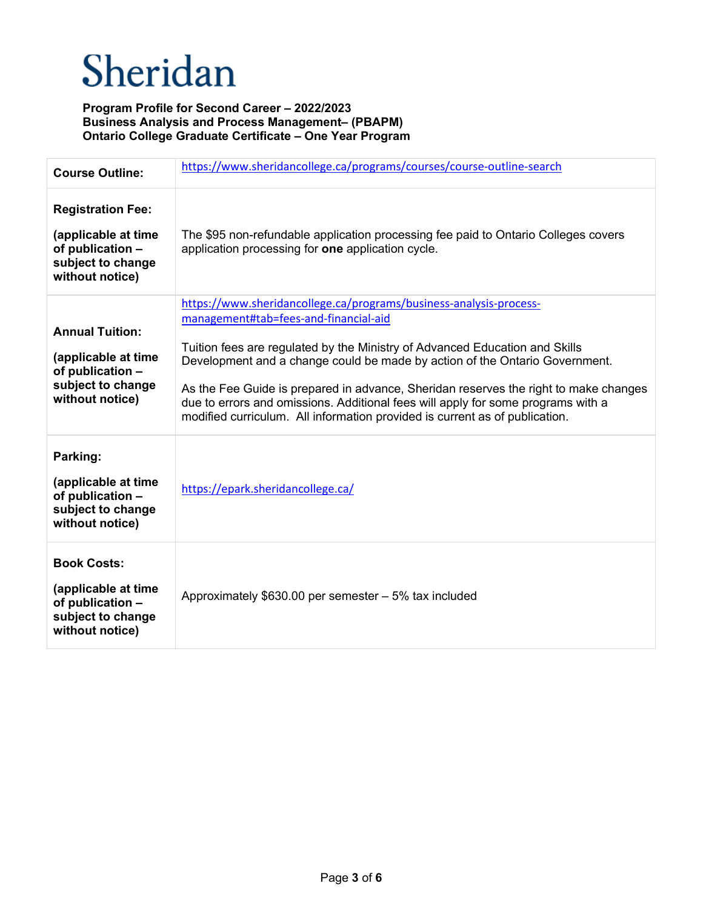# Sheridan

| <b>Course Outline:</b>                                                                                      | https://www.sheridancollege.ca/programs/courses/course-outline-search                                                                                                                                                                                                                                                                                                                                                                                                                                                                |
|-------------------------------------------------------------------------------------------------------------|--------------------------------------------------------------------------------------------------------------------------------------------------------------------------------------------------------------------------------------------------------------------------------------------------------------------------------------------------------------------------------------------------------------------------------------------------------------------------------------------------------------------------------------|
| <b>Registration Fee:</b><br>(applicable at time<br>of publication -<br>subject to change<br>without notice) | The \$95 non-refundable application processing fee paid to Ontario Colleges covers<br>application processing for one application cycle.                                                                                                                                                                                                                                                                                                                                                                                              |
| <b>Annual Tuition:</b><br>(applicable at time<br>of publication -<br>subject to change<br>without notice)   | https://www.sheridancollege.ca/programs/business-analysis-process-<br>management#tab=fees-and-financial-aid<br>Tuition fees are regulated by the Ministry of Advanced Education and Skills<br>Development and a change could be made by action of the Ontario Government.<br>As the Fee Guide is prepared in advance, Sheridan reserves the right to make changes<br>due to errors and omissions. Additional fees will apply for some programs with a<br>modified curriculum. All information provided is current as of publication. |
| Parking:<br>(applicable at time<br>of publication -<br>subject to change<br>without notice)                 | https://epark.sheridancollege.ca/                                                                                                                                                                                                                                                                                                                                                                                                                                                                                                    |
| <b>Book Costs:</b><br>(applicable at time<br>of publication -<br>subject to change<br>without notice)       | Approximately \$630.00 per semester - 5% tax included                                                                                                                                                                                                                                                                                                                                                                                                                                                                                |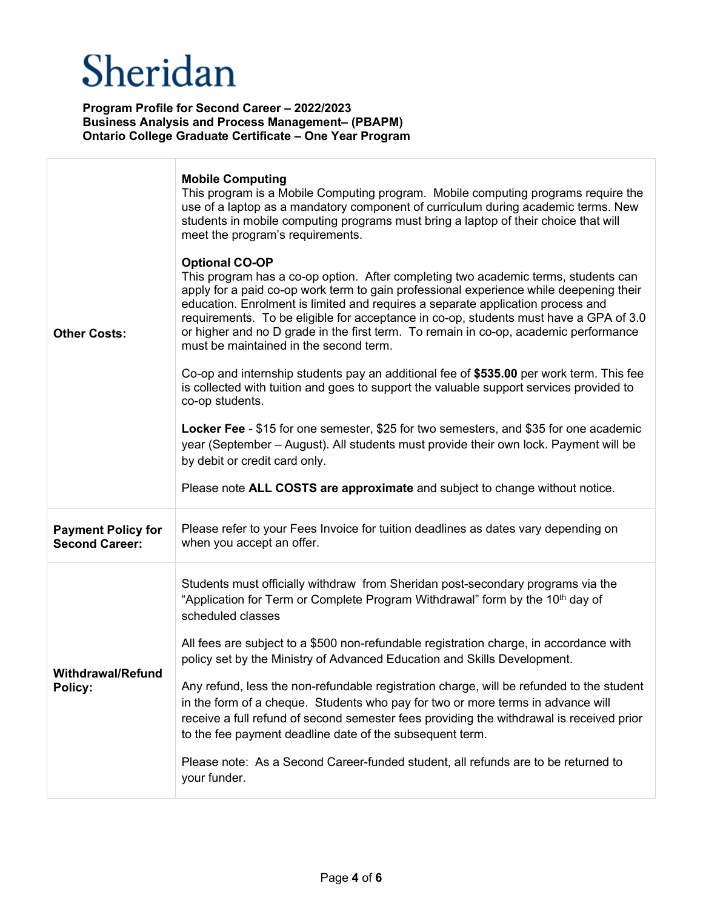| <b>Other Costs:</b>                                | <b>Mobile Computing</b><br>This program is a Mobile Computing program. Mobile computing programs require the<br>use of a laptop as a mandatory component of curriculum during academic terms. New<br>students in mobile computing programs must bring a laptop of their choice that will<br>meet the program's requirements.<br><b>Optional CO-OP</b><br>This program has a co-op option. After completing two academic terms, students can<br>apply for a paid co-op work term to gain professional experience while deepening their<br>education. Enrolment is limited and requires a separate application process and<br>requirements. To be eligible for acceptance in co-op, students must have a GPA of 3.0<br>or higher and no D grade in the first term. To remain in co-op, academic performance<br>must be maintained in the second term.<br>Co-op and internship students pay an additional fee of \$535.00 per work term. This fee<br>is collected with tuition and goes to support the valuable support services provided to<br>co-op students.<br>Locker Fee - \$15 for one semester, \$25 for two semesters, and \$35 for one academic<br>year (September – August). All students must provide their own lock. Payment will be<br>by debit or credit card only.<br>Please note ALL COSTS are approximate and subject to change without notice. |
|----------------------------------------------------|---------------------------------------------------------------------------------------------------------------------------------------------------------------------------------------------------------------------------------------------------------------------------------------------------------------------------------------------------------------------------------------------------------------------------------------------------------------------------------------------------------------------------------------------------------------------------------------------------------------------------------------------------------------------------------------------------------------------------------------------------------------------------------------------------------------------------------------------------------------------------------------------------------------------------------------------------------------------------------------------------------------------------------------------------------------------------------------------------------------------------------------------------------------------------------------------------------------------------------------------------------------------------------------------------------------------------------------------------------------|
| <b>Payment Policy for</b><br><b>Second Career:</b> | Please refer to your Fees Invoice for tuition deadlines as dates vary depending on<br>when you accept an offer.                                                                                                                                                                                                                                                                                                                                                                                                                                                                                                                                                                                                                                                                                                                                                                                                                                                                                                                                                                                                                                                                                                                                                                                                                                               |
| <b>Withdrawal/Refund</b><br>Policy:                | Students must officially withdraw from Sheridan post-secondary programs via the<br>"Application for Term or Complete Program Withdrawal" form by the 10 <sup>th</sup> day of<br>scheduled classes<br>All fees are subject to a \$500 non-refundable registration charge, in accordance with<br>policy set by the Ministry of Advanced Education and Skills Development.<br>Any refund, less the non-refundable registration charge, will be refunded to the student<br>in the form of a cheque. Students who pay for two or more terms in advance will<br>receive a full refund of second semester fees providing the withdrawal is received prior<br>to the fee payment deadline date of the subsequent term.<br>Please note: As a Second Career-funded student, all refunds are to be returned to<br>your funder.                                                                                                                                                                                                                                                                                                                                                                                                                                                                                                                                           |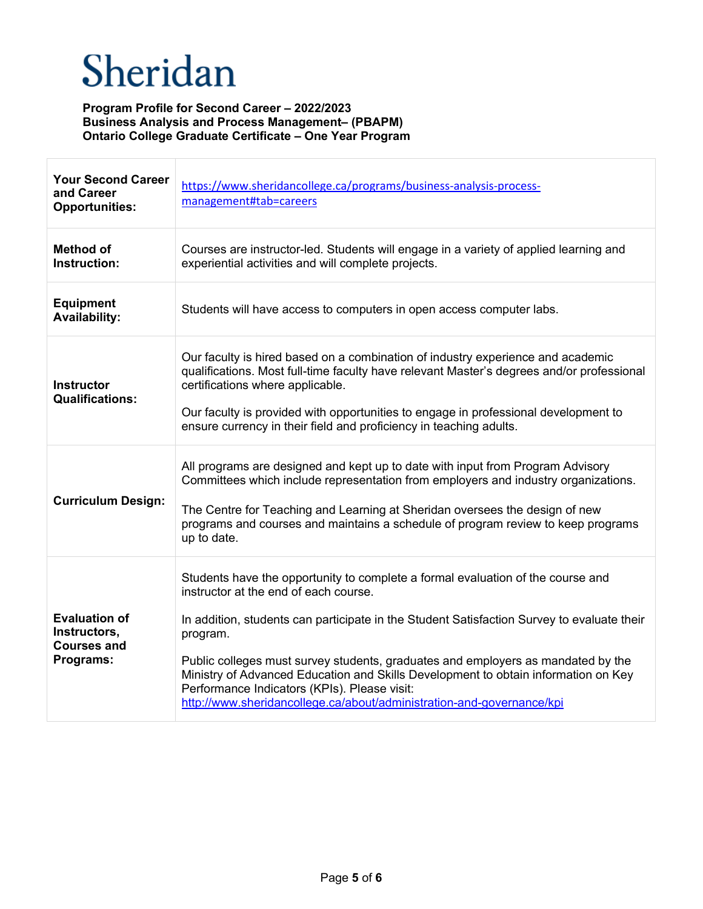| <b>Your Second Career</b><br>and Career<br><b>Opportunities:</b>        | https://www.sheridancollege.ca/programs/business-analysis-process-<br>management#tab=careers                                                                                                                                                                                                                                                                                                                                                                                                                                          |
|-------------------------------------------------------------------------|---------------------------------------------------------------------------------------------------------------------------------------------------------------------------------------------------------------------------------------------------------------------------------------------------------------------------------------------------------------------------------------------------------------------------------------------------------------------------------------------------------------------------------------|
| <b>Method of</b><br>Instruction:                                        | Courses are instructor-led. Students will engage in a variety of applied learning and<br>experiential activities and will complete projects.                                                                                                                                                                                                                                                                                                                                                                                          |
| <b>Equipment</b><br><b>Availability:</b>                                | Students will have access to computers in open access computer labs.                                                                                                                                                                                                                                                                                                                                                                                                                                                                  |
| Instructor<br><b>Qualifications:</b>                                    | Our faculty is hired based on a combination of industry experience and academic<br>qualifications. Most full-time faculty have relevant Master's degrees and/or professional<br>certifications where applicable.<br>Our faculty is provided with opportunities to engage in professional development to<br>ensure currency in their field and proficiency in teaching adults.                                                                                                                                                         |
| <b>Curriculum Design:</b>                                               | All programs are designed and kept up to date with input from Program Advisory<br>Committees which include representation from employers and industry organizations.<br>The Centre for Teaching and Learning at Sheridan oversees the design of new<br>programs and courses and maintains a schedule of program review to keep programs<br>up to date.                                                                                                                                                                                |
| <b>Evaluation of</b><br>Instructors,<br><b>Courses and</b><br>Programs: | Students have the opportunity to complete a formal evaluation of the course and<br>instructor at the end of each course.<br>In addition, students can participate in the Student Satisfaction Survey to evaluate their<br>program.<br>Public colleges must survey students, graduates and employers as mandated by the<br>Ministry of Advanced Education and Skills Development to obtain information on Key<br>Performance Indicators (KPIs). Please visit:<br>http://www.sheridancollege.ca/about/administration-and-governance/kpi |